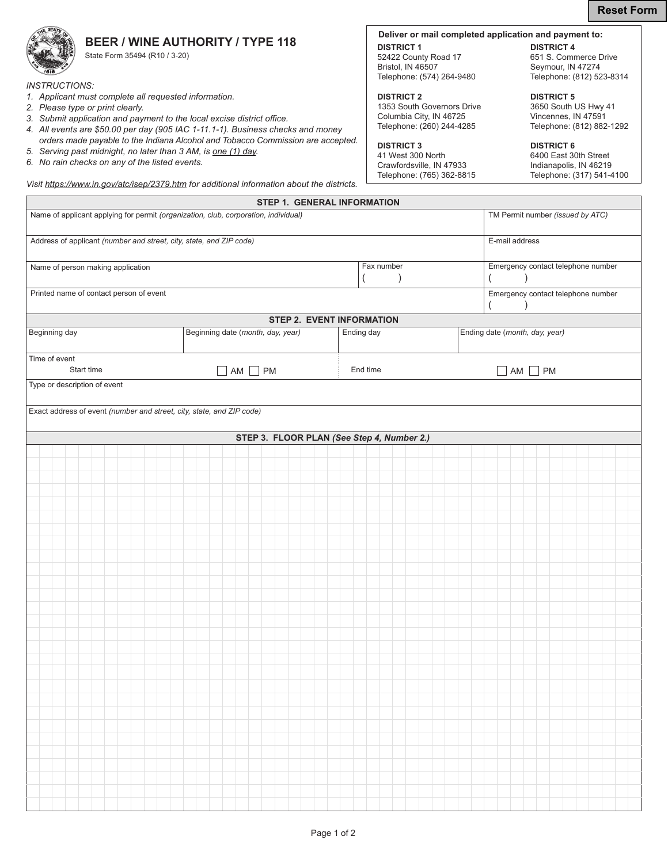

## **BEER / WINE AUTHORITY / TYPE 118**

State Form 35494 (R10 / 3-20)

*INSTRUCTIONS:*

- *1. Applicant must complete all requested information.*
- *2. Please type or print clearly.*
- *3. Submit application and payment to the local excise district office.*
- *4. All events are \$50.00 per day (905 IAC 1-11.1-1). Business checks and money*
- *orders made payable to the Indiana Alcohol and Tobacco Commission are accepted.*
- *5. Serving past midnight, no later than 3 AM, is one (1) day.*
- *6. No rain checks on any of the listed events.*

## **Deliver or mail completed application and payment to:**

**DISTRICT 1** DISTRICT 4 52422 County Road 17 651 S. Commerce Drive<br>Bristol, IN 46507 661 Seymour, IN 47274 Telephone: (574) 264-9480

**DISTRICT 2**<br>
1353 South Governors Drive<br>
2650 South US Hwy 41 1353 South Governors Drive Columbia City, IN 46725 Vincennes, IN 47591 Telephone: (260) 244-4285 Telephone: (812) 882-1292

# **DISTRICT 3**<br>41 West 300 North 6400 East 30

Crawfordsville, IN 47933 Telephone: (765) 362-8815 Telephone: (317) 541-4100

Seymour, IN 47274<br>Telephone: (812) 523-8314

6400 East 30th Street<br>Indianapolis, IN 46219

|                                                                                     | $10.0$ priority: $(100)$ 00 = 00 $10$<br>$10.0$ provided (b) $10.00$<br>Visit https://www.in.gov/atc/isep/2379.htm for additional information about the districts. |  |  |  |                                                                       |  |  |  |                |                                   |  |                                  |  |  |                                    |  |  |            |          |  |  |  |                                            |  |                                |                     |  |  |  |  |                                    |  |  |  |  |  |  |  |  |  |
|-------------------------------------------------------------------------------------|--------------------------------------------------------------------------------------------------------------------------------------------------------------------|--|--|--|-----------------------------------------------------------------------|--|--|--|----------------|-----------------------------------|--|----------------------------------|--|--|------------------------------------|--|--|------------|----------|--|--|--|--------------------------------------------|--|--------------------------------|---------------------|--|--|--|--|------------------------------------|--|--|--|--|--|--|--|--|--|
|                                                                                     |                                                                                                                                                                    |  |  |  |                                                                       |  |  |  |                |                                   |  |                                  |  |  |                                    |  |  |            |          |  |  |  |                                            |  |                                |                     |  |  |  |  |                                    |  |  |  |  |  |  |  |  |  |
|                                                                                     |                                                                                                                                                                    |  |  |  |                                                                       |  |  |  |                |                                   |  |                                  |  |  |                                    |  |  |            |          |  |  |  | STEP 1. GENERAL INFORMATION                |  |                                |                     |  |  |  |  |                                    |  |  |  |  |  |  |  |  |  |
| Name of applicant applying for permit (organization, club, corporation, individual) |                                                                                                                                                                    |  |  |  |                                                                       |  |  |  |                |                                   |  | TM Permit number (issued by ATC) |  |  |                                    |  |  |            |          |  |  |  |                                            |  |                                |                     |  |  |  |  |                                    |  |  |  |  |  |  |  |  |  |
|                                                                                     | Address of applicant (number and street, city, state, and ZIP code)                                                                                                |  |  |  |                                                                       |  |  |  |                |                                   |  |                                  |  |  | E-mail address                     |  |  |            |          |  |  |  |                                            |  |                                |                     |  |  |  |  |                                    |  |  |  |  |  |  |  |  |  |
|                                                                                     | Fax number<br>Name of person making application                                                                                                                    |  |  |  |                                                                       |  |  |  |                |                                   |  |                                  |  |  | Emergency contact telephone number |  |  |            |          |  |  |  |                                            |  |                                |                     |  |  |  |  |                                    |  |  |  |  |  |  |  |  |  |
|                                                                                     |                                                                                                                                                                    |  |  |  |                                                                       |  |  |  |                |                                   |  |                                  |  |  |                                    |  |  |            |          |  |  |  |                                            |  |                                |                     |  |  |  |  | Emergency contact telephone number |  |  |  |  |  |  |  |  |  |
|                                                                                     | Printed name of contact person of event<br><b>STEP 2. EVENT INFORMATION</b>                                                                                        |  |  |  |                                                                       |  |  |  |                |                                   |  |                                  |  |  |                                    |  |  |            |          |  |  |  |                                            |  |                                |                     |  |  |  |  |                                    |  |  |  |  |  |  |  |  |  |
|                                                                                     |                                                                                                                                                                    |  |  |  |                                                                       |  |  |  |                |                                   |  |                                  |  |  |                                    |  |  |            |          |  |  |  |                                            |  |                                |                     |  |  |  |  |                                    |  |  |  |  |  |  |  |  |  |
| Beginning day                                                                       |                                                                                                                                                                    |  |  |  |                                                                       |  |  |  |                | Beginning date (month, day, year) |  |                                  |  |  |                                    |  |  | Ending day |          |  |  |  |                                            |  | Ending date (month, day, year) |                     |  |  |  |  |                                    |  |  |  |  |  |  |  |  |  |
| Time of event<br>Start time                                                         |                                                                                                                                                                    |  |  |  |                                                                       |  |  |  | $AM$ $\Box$ PM |                                   |  |                                  |  |  |                                    |  |  |            | End time |  |  |  |                                            |  |                                | $\Box$ AM $\Box$ PM |  |  |  |  |                                    |  |  |  |  |  |  |  |  |  |
| Type or description of event                                                        |                                                                                                                                                                    |  |  |  |                                                                       |  |  |  |                |                                   |  |                                  |  |  |                                    |  |  |            |          |  |  |  |                                            |  |                                |                     |  |  |  |  |                                    |  |  |  |  |  |  |  |  |  |
|                                                                                     |                                                                                                                                                                    |  |  |  | Exact address of event (number and street, city, state, and ZIP code) |  |  |  |                |                                   |  |                                  |  |  |                                    |  |  |            |          |  |  |  |                                            |  |                                |                     |  |  |  |  |                                    |  |  |  |  |  |  |  |  |  |
|                                                                                     |                                                                                                                                                                    |  |  |  |                                                                       |  |  |  |                |                                   |  |                                  |  |  |                                    |  |  |            |          |  |  |  | STEP 3. FLOOR PLAN (See Step 4, Number 2.) |  |                                |                     |  |  |  |  |                                    |  |  |  |  |  |  |  |  |  |
|                                                                                     |                                                                                                                                                                    |  |  |  |                                                                       |  |  |  |                |                                   |  |                                  |  |  |                                    |  |  |            |          |  |  |  |                                            |  |                                |                     |  |  |  |  |                                    |  |  |  |  |  |  |  |  |  |
|                                                                                     |                                                                                                                                                                    |  |  |  |                                                                       |  |  |  |                |                                   |  |                                  |  |  |                                    |  |  |            |          |  |  |  |                                            |  |                                |                     |  |  |  |  |                                    |  |  |  |  |  |  |  |  |  |
|                                                                                     |                                                                                                                                                                    |  |  |  |                                                                       |  |  |  |                |                                   |  |                                  |  |  |                                    |  |  |            |          |  |  |  |                                            |  |                                |                     |  |  |  |  |                                    |  |  |  |  |  |  |  |  |  |
|                                                                                     |                                                                                                                                                                    |  |  |  |                                                                       |  |  |  |                |                                   |  |                                  |  |  |                                    |  |  |            |          |  |  |  |                                            |  |                                |                     |  |  |  |  |                                    |  |  |  |  |  |  |  |  |  |
|                                                                                     |                                                                                                                                                                    |  |  |  |                                                                       |  |  |  |                |                                   |  |                                  |  |  |                                    |  |  |            |          |  |  |  |                                            |  |                                |                     |  |  |  |  |                                    |  |  |  |  |  |  |  |  |  |
|                                                                                     |                                                                                                                                                                    |  |  |  |                                                                       |  |  |  |                |                                   |  |                                  |  |  |                                    |  |  |            |          |  |  |  |                                            |  |                                |                     |  |  |  |  |                                    |  |  |  |  |  |  |  |  |  |
|                                                                                     |                                                                                                                                                                    |  |  |  |                                                                       |  |  |  |                |                                   |  |                                  |  |  |                                    |  |  |            |          |  |  |  |                                            |  |                                |                     |  |  |  |  |                                    |  |  |  |  |  |  |  |  |  |
|                                                                                     |                                                                                                                                                                    |  |  |  |                                                                       |  |  |  |                |                                   |  |                                  |  |  |                                    |  |  |            |          |  |  |  |                                            |  |                                |                     |  |  |  |  |                                    |  |  |  |  |  |  |  |  |  |
|                                                                                     |                                                                                                                                                                    |  |  |  |                                                                       |  |  |  |                |                                   |  |                                  |  |  |                                    |  |  |            |          |  |  |  |                                            |  |                                |                     |  |  |  |  |                                    |  |  |  |  |  |  |  |  |  |
|                                                                                     |                                                                                                                                                                    |  |  |  |                                                                       |  |  |  |                |                                   |  |                                  |  |  |                                    |  |  |            |          |  |  |  |                                            |  |                                |                     |  |  |  |  |                                    |  |  |  |  |  |  |  |  |  |
|                                                                                     |                                                                                                                                                                    |  |  |  |                                                                       |  |  |  |                |                                   |  |                                  |  |  |                                    |  |  |            |          |  |  |  |                                            |  |                                |                     |  |  |  |  |                                    |  |  |  |  |  |  |  |  |  |
|                                                                                     |                                                                                                                                                                    |  |  |  |                                                                       |  |  |  |                |                                   |  |                                  |  |  |                                    |  |  |            |          |  |  |  |                                            |  |                                |                     |  |  |  |  |                                    |  |  |  |  |  |  |  |  |  |
|                                                                                     |                                                                                                                                                                    |  |  |  |                                                                       |  |  |  |                |                                   |  |                                  |  |  |                                    |  |  |            |          |  |  |  |                                            |  |                                |                     |  |  |  |  |                                    |  |  |  |  |  |  |  |  |  |
|                                                                                     |                                                                                                                                                                    |  |  |  |                                                                       |  |  |  |                |                                   |  |                                  |  |  |                                    |  |  |            |          |  |  |  |                                            |  |                                |                     |  |  |  |  |                                    |  |  |  |  |  |  |  |  |  |
|                                                                                     |                                                                                                                                                                    |  |  |  |                                                                       |  |  |  |                |                                   |  |                                  |  |  |                                    |  |  |            |          |  |  |  |                                            |  |                                |                     |  |  |  |  |                                    |  |  |  |  |  |  |  |  |  |
|                                                                                     |                                                                                                                                                                    |  |  |  |                                                                       |  |  |  |                |                                   |  |                                  |  |  |                                    |  |  |            |          |  |  |  |                                            |  |                                |                     |  |  |  |  |                                    |  |  |  |  |  |  |  |  |  |
|                                                                                     |                                                                                                                                                                    |  |  |  |                                                                       |  |  |  |                |                                   |  |                                  |  |  |                                    |  |  |            |          |  |  |  |                                            |  |                                |                     |  |  |  |  |                                    |  |  |  |  |  |  |  |  |  |
|                                                                                     |                                                                                                                                                                    |  |  |  |                                                                       |  |  |  |                |                                   |  |                                  |  |  |                                    |  |  |            |          |  |  |  |                                            |  |                                |                     |  |  |  |  |                                    |  |  |  |  |  |  |  |  |  |
|                                                                                     |                                                                                                                                                                    |  |  |  |                                                                       |  |  |  |                |                                   |  |                                  |  |  |                                    |  |  |            |          |  |  |  |                                            |  |                                |                     |  |  |  |  |                                    |  |  |  |  |  |  |  |  |  |
|                                                                                     |                                                                                                                                                                    |  |  |  |                                                                       |  |  |  |                |                                   |  |                                  |  |  |                                    |  |  |            |          |  |  |  |                                            |  |                                |                     |  |  |  |  |                                    |  |  |  |  |  |  |  |  |  |
|                                                                                     |                                                                                                                                                                    |  |  |  |                                                                       |  |  |  |                |                                   |  |                                  |  |  |                                    |  |  |            |          |  |  |  |                                            |  |                                |                     |  |  |  |  |                                    |  |  |  |  |  |  |  |  |  |
|                                                                                     |                                                                                                                                                                    |  |  |  |                                                                       |  |  |  |                |                                   |  |                                  |  |  |                                    |  |  |            |          |  |  |  |                                            |  |                                |                     |  |  |  |  |                                    |  |  |  |  |  |  |  |  |  |
|                                                                                     |                                                                                                                                                                    |  |  |  |                                                                       |  |  |  |                |                                   |  |                                  |  |  |                                    |  |  |            |          |  |  |  |                                            |  |                                |                     |  |  |  |  |                                    |  |  |  |  |  |  |  |  |  |
|                                                                                     |                                                                                                                                                                    |  |  |  |                                                                       |  |  |  |                |                                   |  |                                  |  |  |                                    |  |  |            |          |  |  |  |                                            |  |                                |                     |  |  |  |  |                                    |  |  |  |  |  |  |  |  |  |
|                                                                                     |                                                                                                                                                                    |  |  |  |                                                                       |  |  |  |                |                                   |  |                                  |  |  |                                    |  |  |            |          |  |  |  |                                            |  |                                |                     |  |  |  |  |                                    |  |  |  |  |  |  |  |  |  |
|                                                                                     |                                                                                                                                                                    |  |  |  |                                                                       |  |  |  |                |                                   |  |                                  |  |  |                                    |  |  |            |          |  |  |  |                                            |  |                                |                     |  |  |  |  |                                    |  |  |  |  |  |  |  |  |  |